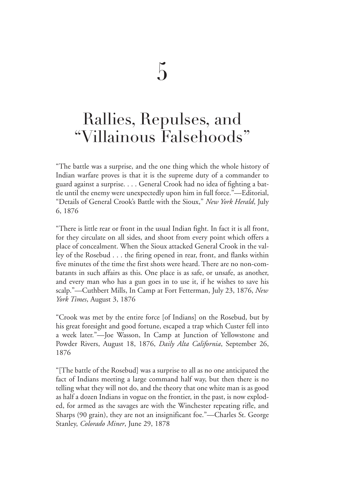# Rallies, Repulses, and "Villainous Falsehoods"

"The battle was a surprise, and the one thing which the whole history of Indian warfare proves is that it is the supreme duty of a commander to guard against a surprise. . . . General Crook had no idea of fighting a battle until the enemy were unexpectedly upon him in full force."—Editorial, "Details of General Crook's Battle with the Sioux," *New York Herald*, July 6, 1876

"There is little rear or front in the usual Indian fight. In fact it is all front, for they circulate on all sides, and shoot from every point which offers a place of concealment. When the Sioux attacked General Crook in the valley of the Rosebud . . . the firing opened in rear, front, and flanks within five minutes of the time the first shots were heard. There are no non-combatants in such affairs as this. One place is as safe, or unsafe, as another, and every man who has a gun goes in to use it, if he wishes to save his scalp."—Cuthbert Mills, In Camp at Fort Fetterman, July 23, 1876, *New York Times*, August 3, 1876

"Crook was met by the entire force [of Indians] on the Rosebud, but by his great foresight and good fortune, escaped a trap which Custer fell into a week later."—Joe Wasson, In Camp at Junction of Yellowstone and Powder Rivers, August 18, 1876, *Daily Alta California*, September 26, 1876

"[The battle of the Rosebud] was a surprise to all as no one anticipated the fact of Indians meeting a large command half way, but then there is no telling what they will not do, and the theory that one white man is as good as half a dozen Indians in vogue on the frontier, in the past, is now exploded, for armed as the savages are with the Winchester repeating rifle, and Sharps (90 grain), they are not an insignificant foe."—Charles St. George Stanley, *Colorado Miner*, June 29, 1878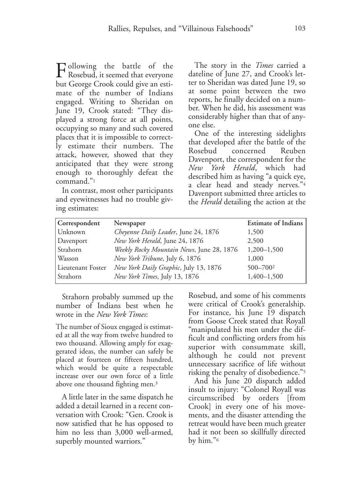Following the battle of the Rosebud, it seemed that everyone but George Crook could give an estimate of the number of Indians engaged. Writing to Sheridan on June 19, Crook stated: "They displayed a strong force at all points, occupying so many and such covered places that it is impossible to correctly estimate their numbers. The attack, however, showed that they anticipated that they were strong enough to thoroughly defeat the command."1

In contrast, most other participants and eyewitnesses had no trouble giving estimates:

The story in the *Times* carried a dateline of June 27, and Crook's letter to Sheridan was dated June 19, so at some point between the two reports, he finally decided on a number. When he did, his assessment was considerably higher than that of anyone else.

One of the interesting sidelights that developed after the battle of the Rosebud concerned Reuben Davenport, the correspondent for the *New York Herald*, which had described him as having "a quick eye, a clear head and steady nerves."4 Davenport submitted three articles to the *Herald* detailing the action at the

| Correspondent     | Newspaper                                 | <b>Estimate of Indians</b> |
|-------------------|-------------------------------------------|----------------------------|
| Unknown           | Cheyenne Daily Leader, June 24, 1876      | 1,500                      |
| Davenport         | New York Herald, June 24, 1876            | 2,500                      |
| Strahorn          | Weekly Rocky Mountain News, June 28, 1876 | $1,200-1,500$              |
| Wasson            | New York Tribune, July 6, 1876            | 1,000                      |
| Lieutenant Foster | New York Daily Graphic, July 13, 1876     | 500-7002                   |
| Strahorn          | New York Times, July 13, 1876             | $1,400-1,500$              |

Strahorn probably summed up the number of Indians best when he wrote in the *New York Times*:

The number of Sioux engaged is estimated at all the way from twelve hundred to two thousand. Allowing amply for exaggerated ideas, the number can safely be placed at fourteen or fifteen hundred, which would be quite a respectable increase over our own force of a little above one thousand fighting men.3

A little later in the same dispatch he added a detail learned in a recent conversation with Crook: "Gen. Crook is now satisfied that he has opposed to him no less than 3,000 well-armed, superbly mounted warriors."

Rosebud, and some of his comments were critical of Crook's generalship. For instance, his June 19 dispatch from Goose Creek stated that Royall "manipulated his men under the difficult and conflicting orders from his superior with consummate skill, although he could not prevent unnecessary sacrifice of life without risking the penalty of disobedience."5

And his June 20 dispatch added insult to injury: "Colonel Royall was circumscribed by orders [from Crook] in every one of his movements, and the disaster attending the retreat would have been much greater had it not been so skillfully directed by him."6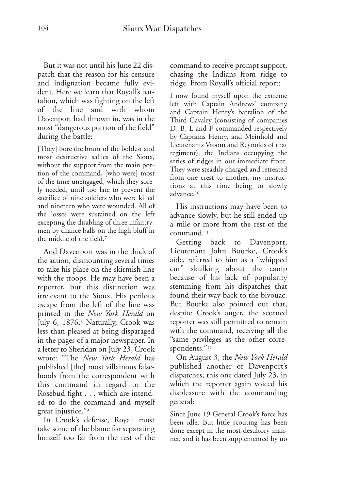But it was not until his June 22 dispatch that the reason for his censure and indignation became fully evident. Here we learn that Royall's battalion, which was fighting on the left of the line and with whom Davenport had thrown in, was in the most "dangerous portion of the field" during the battle:

[They] bore the brunt of the boldest and most destructive sallies of the Sioux, without the support from the main portion of the command, [who were] most of the time unengaged, which they sorely needed, until too late to prevent the sacrifice of nine soldiers who were killed and nineteen who were wounded. All of the losses were sustained on the left excepting the disabling of three infantrymen by chance balls on the high bluff in the middle of the field.7

And Davenport was in the thick of the action, dismounting several times to take his place on the skirmish line with the troops. He may have been a reporter, but this distinction was irrelevant to the Sioux. His perilous escape from the left of the line was printed in the *New York Herald* on July 6, 1876.8 Naturally, Crook was less than pleased at being disparaged in the pages of a major newspaper. In a letter to Sheridan on July 23, Crook wrote: "The *New York Herald* has published [the] most villainous falsehoods from the correspondent with this command in regard to the Rosebud fight . . . which are intended to do the command and myself great injustice."9

In Crook's defense, Royall must take some of the blame for separating himself too far from the rest of the command to receive prompt support, chasing the Indians from ridge to ridge. From Royall's official report:

I now found myself upon the extreme left with Captain Andrews' company and Captain Henry's battalion of the Third Cavalry (consisting of companies D, B, L and F commanded respectively by Captains Henry, and Meinhold and Lieutenants Vroom and Reynolds of that regiment), the Indians occupying the series of ridges in our immediate front. They were steadily charged and retreated from one crest to another, my instructions at this time being to slowly advance.10

His instructions may have been to advance slowly, but he still ended up a mile or more from the rest of the command.11

Getting back to Davenport, Lieutenant John Bourke, Crook's aide, referred to him as a "whipped cur" skulking about the camp because of his lack of popularity stemming from his dispatches that found their way back to the bivouac. But Bourke also pointed out that, despite Crook's anger, the scorned reporter was still permitted to remain with the command, receiving all the "same privileges as the other correspondents."<sup>12</sup>

On August 3, the *New York Herald* published another of Davenport's dispatches, this one dated July 23, in which the reporter again voiced his displeasure with the commanding general:

Since June 19 General Crook's force has been idle. But little scouting has been done except in the most desultory manner, and it has been supplemented by no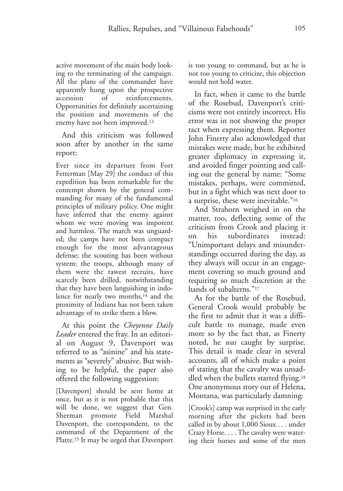active movement of the main body looking to the terminating of the campaign. All the plans of the commander have apparently hung upon the prospective accession of reinforcements. Opportunities for definitely ascertaining the position and movements of the enemy have not been improved.13

And this criticism was followed soon after by another in the same report:

Ever since its departure from Fort Fetterman [May 29] the conduct of this expedition has been remarkable for the contempt shown by the general commanding for many of the fundamental principles of military policy. One might have inferred that the enemy against whom we were moving was impotent and harmless. The march was unguarded; the camps have not been compact enough for the most advantageous defense; the scouting has been without system; the troops, although many of them were the rawest recruits, have scarcely been drilled, notwithstanding that they have been languishing in indolence for nearly two months,<sup>14</sup> and the proximity of Indians has not been taken advantage of to strike them a blow.

At this point the *Cheyenne Daily Leader* entered the fray. In an editorial on August 9, Davenport was referred to as "asinine" and his statements as "severely" abusive. But wishing to be helpful, the paper also offered the following suggestion:

[Davenport] should be sent home at once, but as it is not probable that this will be done, we suggest that Gen. Sherman promote Field Marshal Davenport, the correspondent, to the command of the Department of the Platte.15 It may be urged that Davenport is too young to command, but as he is not too young to criticize, this objection would not hold water.

In fact, when it came to the battle of the Rosebud, Davenport's criticisms were not entirely incorrect. His error was in not showing the proper tact when expressing them. Reporter John Finerty also acknowledged that mistakes were made, but he exhibited greater diplomacy in expressing it, and avoided finger pointing and calling out the general by name: "Some mistakes, perhaps, were committed, but in a fight which was next door to a surprise, these were inevitable."16

And Strahorn weighed in on the matter, too, deflecting some of the criticism from Crook and placing it on his subordinates instead: "Unimportant delays and misunderstandings occurred during the day, as they always will occur in an engagement covering so much ground and requiring so much discretion at the hands of subalterns."17

As for the battle of the Rosebud, General Crook would probably be the first to admit that it was a difficult battle to manage, made even more so by the fact that, as Finerty noted, he *was* caught by surprise. This detail is made clear in several accounts, all of which make a point of stating that the cavalry was unsaddled when the bullets started flying.18 One anonymous story out of Helena, Montana, was particularly damning:

[Crook's] camp was surprised in the early morning after the pickets had been called in by about 1,000 Sioux . . . under Crazy Horse. . . . The cavalry were watering their horses and some of the men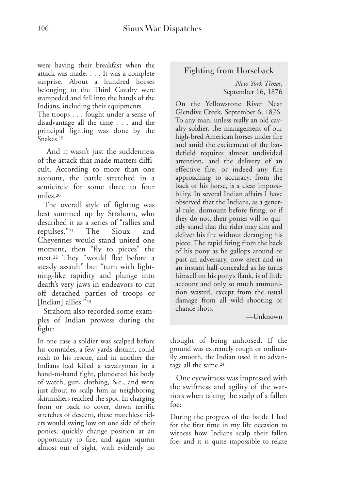were having their breakfast when the attack was made. . . . It was a complete surprise. About a hundred horses belonging to the Third Cavalry were stampeded and fell into the hands of the Indians, including their equipments. . . . The troops . . . fought under a sense of disadvantage all the time . . . and the principal fighting was done by the Snakes.19

And it wasn't just the suddenness of the attack that made matters difficult. According to more than one account, the battle stretched in a semicircle for some three to four miles.20

The overall style of fighting was best summed up by Strahorn, who described it as a series of "rallies and repulses."21 The Sioux and Cheyennes would stand united one moment, then "fly to pieces" the next.22 They "would flee before a steady assault" but "turn with lightning-like rapidity and plunge into death's very jaws in endeavors to cut off detached parties of troops or [Indian] allies."23

Strahorn also recorded some examples of Indian prowess during the fight:

In one case a soldier was scalped before his comrades, a few yards distant, could rush to his rescue, and in another the Indians had killed a cavalryman in a hand-to-hand fight, plundered his body of watch, gun, clothing, &c., and were just about to scalp him as neighboring skirmishers reached the spot. In charging from or back to cover, down terrific stretches of descent, these matchless riders would swing low on one side of their ponies, quickly change position at an opportunity to fire, and again squirm almost out of sight, with evidently no

# Fighting from Horseback

*New York Times*, September 16, 1876

On the Yellowstone River Near Glendive Creek, September 6, 1876. To any man, unless really an old cavalry soldier, the management of our high-bred American horses under fire and amid the excitement of the battlefield requires almost undivided attention, and the delivery of an effective fire, or indeed any fire approaching to accuracy, from the back of his horse, is a clear impossibility. In several Indian affairs I have observed that the Indians, as a general rule, dismount before firing, or if they do not, their ponies will so quietly stand that the rider may aim and deliver his fire without deranging his piece. The rapid firing from the back of his pony as he gallops around or past an adversary, now erect and in an instant half-concealed as he turns himself on his pony's flank, is of little account and only so much ammunition wasted, except from the usual damage from all wild shooting or chance shots.

—Unknown

thought of being unhorsed. If the ground was extremely rough or ordinarily smooth, the Indian used it to advantage all the same.24

One eyewitness was impressed with the swiftness and agility of the warriors when taking the scalp of a fallen foe:

During the progress of the battle I had for the first time in my life occasion to witness how Indians scalp their fallen foe, and it is quite impossible to relate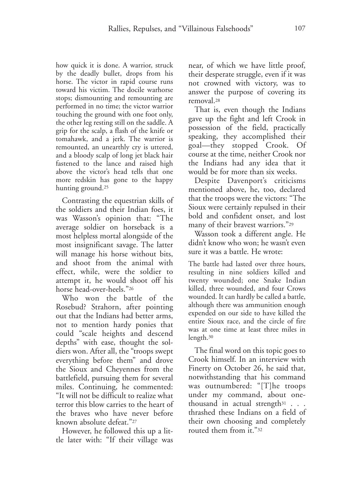how quick it is done. A warrior, struck by the deadly bullet, drops from his horse. The victor in rapid course runs toward his victim. The docile warhorse stops; dismounting and remounting are performed in no time; the victor warrior touching the ground with one foot only, the other leg resting still on the saddle. A grip for the scalp, a flash of the knife or tomahawk, and a jerk. The warrior is remounted, an unearthly cry is uttered, and a bloody scalp of long jet black hair fastened to the lance and raised high above the victor's head tells that one more redskin has gone to the happy hunting ground.<sup>25</sup>

Contrasting the equestrian skills of the soldiers and their Indian foes, it was Wasson's opinion that: "The average soldier on horseback is a most helpless mortal alongside of the most insignificant savage. The latter will manage his horse without bits, and shoot from the animal with effect, while, were the soldier to attempt it, he would shoot off his horse head-over-heels."26

Who won the battle of the Rosebud? Strahorn, after pointing out that the Indians had better arms, not to mention hardy ponies that could "scale heights and descend depths" with ease, thought the soldiers won. After all, the "troops swept everything before them" and drove the Sioux and Cheyennes from the battlefield, pursuing them for several miles. Continuing, he commented: "It will not be difficult to realize what terror this blow carries to the heart of the braves who have never before known absolute defeat."27

However, he followed this up a little later with: "If their village was near, of which we have little proof, their desperate struggle, even if it was not crowned with victory, was to answer the purpose of covering its removal.28

That is, even though the Indians gave up the fight and left Crook in possession of the field, practically speaking, they accomplished their goal—they stopped Crook. Of course at the time, neither Crook nor the Indians had any idea that it would be for more than six weeks.

Despite Davenport's criticisms mentioned above, he, too, declared that the troops were the victors: "The Sioux were certainly repulsed in their bold and confident onset, and lost many of their bravest warriors."29

Wasson took a different angle. He didn't know who won; he wasn't even sure it was a battle. He wrote:

The battle had lasted over three hours, resulting in nine soldiers killed and twenty wounded; one Snake Indian killed, three wounded, and four Crows wounded. It can hardly be called a battle, although there was ammunition enough expended on our side to have killed the entire Sioux race, and the circle of fire was at one time at least three miles in length.30

The final word on this topic goes to Crook himself. In an interview with Finerty on October 26, he said that, notwithstanding that his command was outnumbered: "[T]he troops under my command, about onethousand in actual strength $31$ ... thrashed these Indians on a field of their own choosing and completely routed them from it."32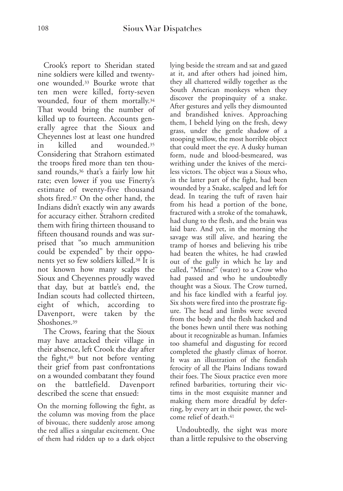Crook's report to Sheridan stated nine soldiers were killed and twentyone wounded.33 Bourke wrote that ten men were killed, forty-seven wounded, four of them mortally.34 That would bring the number of killed up to fourteen. Accounts generally agree that the Sioux and Cheyennes lost at least one hundred in killed and wounded.35 Considering that Strahorn estimated the troops fired more than ten thousand rounds,<sup>36</sup> that's a fairly low hit rate; even lower if you use Finerty's estimate of twenty-five thousand shots fired.37 On the other hand, the Indians didn't exactly win any awards for accuracy either. Strahorn credited them with firing thirteen thousand to fifteen thousand rounds and was surprised that "so much ammunition could be expended" by their opponents yet so few soldiers killed.38 It is not known how many scalps the Sioux and Cheyennes proudly waved that day, but at battle's end, the Indian scouts had collected thirteen, eight of which, according to Davenport, were taken by the Shoshones.39

The Crows, fearing that the Sioux may have attacked their village in their absence, left Crook the day after the fight,40 but not before venting their grief from past confrontations on a wounded combatant they found on the battlefield. Davenport described the scene that ensued:

On the morning following the fight, as the column was moving from the place of bivouac, there suddenly arose among the red allies a singular excitement. One of them had ridden up to a dark object lying beside the stream and sat and gazed at it, and after others had joined him, they all chattered wildly together as the South American monkeys when they discover the propinquity of a snake. After gestures and yells they dismounted and brandished knives. Approaching them, I beheld lying on the fresh, dewy grass, under the gentle shadow of a stooping willow, the most horrible object that could meet the eye. A dusky human form, nude and blood-besmeared, was writhing under the knives of the merciless victors. The object was a Sioux who, in the latter part of the fight, had been wounded by a Snake, scalped and left for dead. In tearing the tuft of raven hair from his head a portion of the bone, fractured with a stroke of the tomahawk, had clung to the flesh, and the brain was laid bare. And yet, in the morning the savage was still alive, and hearing the tramp of horses and believing his tribe had beaten the whites, he had crawled out of the gully in which he lay and called, "Minne!" (water) to a Crow who had passed and who he undoubtedly thought was a Sioux. The Crow turned, and his face kindled with a fearful joy. Six shots were fired into the prostrate figure. The head and limbs were severed from the body and the flesh hacked and the bones hewn until there was nothing about it recognizable as human. Infamies too shameful and disgusting for record completed the ghastly climax of horror. It was an illustration of the fiendish ferocity of all the Plains Indians toward their foes. The Sioux practice even more refined barbarities, torturing their victims in the most exquisite manner and making them more dreadful by deferring, by every art in their power, the welcome relief of death.41

Undoubtedly, the sight was more than a little repulsive to the observing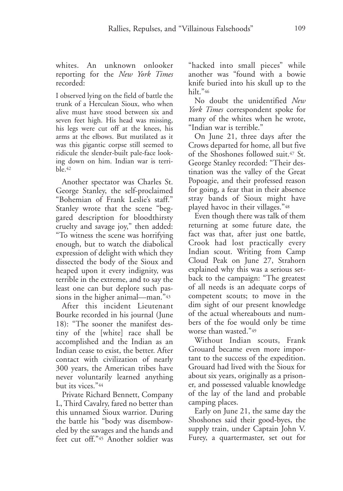whites. An unknown onlooker reporting for the *New York Times* recorded:

I observed lying on the field of battle the trunk of a Herculean Sioux, who when alive must have stood between six and seven feet high. His head was missing, his legs were cut off at the knees, his arms at the elbows. But mutilated as it was this gigantic corpse still seemed to ridicule the slender-built pale-face looking down on him. Indian war is terri $h$ le<sup>42</sup>

Another spectator was Charles St. George Stanley, the self-proclaimed "Bohemian of Frank Leslie's staff." Stanley wrote that the scene "beggared description for bloodthirsty cruelty and savage joy," then added: "To witness the scene was horrifying enough, but to watch the diabolical expression of delight with which they dissected the body of the Sioux and heaped upon it every indignity, was terrible in the extreme, and to say the least one can but deplore such passions in the higher animal—man."43

After this incident Lieutenant Bourke recorded in his journal (June 18): "The sooner the manifest destiny of the [white] race shall be accomplished and the Indian as an Indian cease to exist, the better. After contact with civilization of nearly 300 years, the American tribes have never voluntarily learned anything but its vices."44

Private Richard Bennett, Company L, Third Cavalry, fared no better than this unnamed Sioux warrior. During the battle his "body was disemboweled by the savages and the hands and feet cut off."45 Another soldier was "hacked into small pieces" while another was "found with a bowie knife buried into his skull up to the hilt."46

No doubt the unidentified *New York Times* correspondent spoke for many of the whites when he wrote, "Indian war is terrible."

On June 21, three days after the Crows departed for home, all but five of the Shoshones followed suit.47 St. George Stanley recorded: "Their destination was the valley of the Great Popoagie, and their professed reason for going, a fear that in their absence stray bands of Sioux might have played havoc in their villages."48

Even though there was talk of them returning at some future date, the fact was that, after just one battle, Crook had lost practically every Indian scout. Writing from Camp Cloud Peak on June 27, Strahorn explained why this was a serious setback to the campaign: "The greatest of all needs is an adequate corps of competent scouts; to move in the dim sight of our present knowledge of the actual whereabouts and numbers of the foe would only be time worse than wasted."49

Without Indian scouts, Frank Grouard became even more important to the success of the expedition. Grouard had lived with the Sioux for about six years, originally as a prisoner, and possessed valuable knowledge of the lay of the land and probable camping places.

Early on June 21, the same day the Shoshones said their good-byes, the supply train, under Captain John V. Furey, a quartermaster, set out for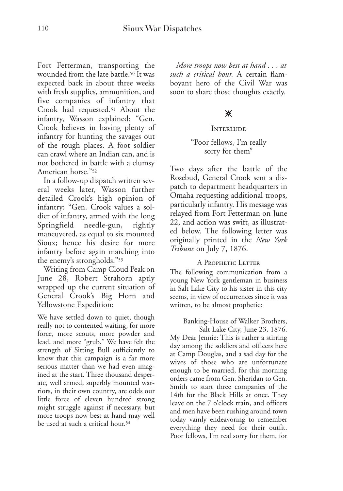Fort Fetterman, transporting the wounded from the late battle.50 It was expected back in about three weeks with fresh supplies, ammunition, and five companies of infantry that Crook had requested.51 About the infantry, Wasson explained: "Gen. Crook believes in having plenty of infantry for hunting the savages out of the rough places. A foot soldier can crawl where an Indian can, and is not bothered in battle with a clumsy American horse."52

In a follow-up dispatch written several weeks later, Wasson further detailed Crook's high opinion of infantry: "Gen. Crook values a soldier of infantry, armed with the long Springfield needle-gun, rightly maneuvered, as equal to six mounted Sioux; hence his desire for more infantry before again marching into the enemy's strongholds."53

Writing from Camp Cloud Peak on June 28, Robert Strahorn aptly wrapped up the current situation of General Crook's Big Horn and Yellowstone Expedition:

We have settled down to quiet, though really not to contented waiting, for more force, more scouts, more powder and lead, and more "grub." We have felt the strength of Sitting Bull sufficiently to know that this campaign is a far more serious matter than we had even imagined at the start. Three thousand desperate, well armed, superbly mounted warriors, in their own country, are odds our little force of eleven hundred strong might struggle against if necessary, but more troops now best at hand may well be used at such a critical hour.54

*More troops now best at hand . . . at such a critical hour.* A certain flamboyant hero of the Civil War was soon to share those thoughts exactly.

# ※

#### **INTERLUDE**

### "Poor fellows, I'm really sorry for them"

Two days after the battle of the Rosebud, General Crook sent a dispatch to department headquarters in Omaha requesting additional troops, particularly infantry. His message was relayed from Fort Fetterman on June 22, and action was swift, as illustrated below. The following letter was originally printed in the *New York Tribune* on July 7, 1876.

## A PROPHETIC LETTER

The following communication from a young New York gentleman in business in Salt Lake City to his sister in this city seems, in view of occurrences since it was written, to be almost prophetic:

## Banking-House of Walker Brothers,

Salt Lake City, June 23, 1876. My Dear Jennie: This is rather a stirring day among the soldiers and officers here at Camp Douglas, and a sad day for the wives of those who are unfortunate enough to be married, for this morning orders came from Gen. Sheridan to Gen. Smith to start three companies of the 14th for the Black Hills at once. They leave on the 7 o'clock train, and officers and men have been rushing around town today vainly endeavoring to remember everything they need for their outfit. Poor fellows, I'm real sorry for them, for